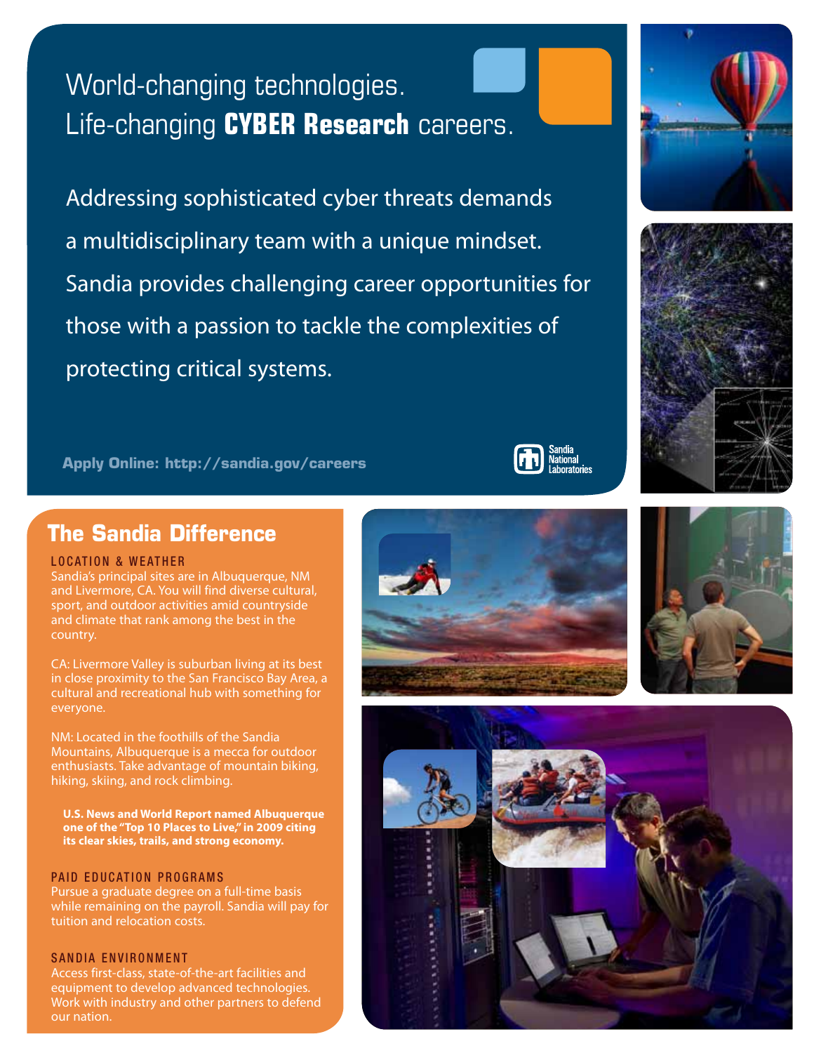# World-changing technologies. Life-changing **CYBER Research** careers.

Addressing sophisticated cyber threats demands a multidisciplinary team with a unique mindset. Sandia provides challenging career opportunities for those with a passion to tackle the complexities of protecting critical systems.

**Apply Online: http://sandia.gov/careers**

# **The Sandia Difference**

#### **LOCATION & WEATHER**

Sandia's principal sites are in Albuquerque, NM and Livermore, CA. You will find diverse cultural, sport, and outdoor activities amid countryside and climate that rank among the best in the country.

CA: Livermore Valley is suburban living at its best in close proximity to the San Francisco Bay Area, a cultural and recreational hub with something for everyone.

NM: Located in the foothills of the Sandia Mountains, Albuquerque is a mecca for outdoor enthusiasts. Take advantage of mountain biking, hiking, skiing, and rock climbing.

**U.S. News and World Report named Albuquerque one of the "Top 10 Places to Live," in 2009 citing its clear skies, trails, and strong economy.**

#### PAID EDUCATION PROGRAMS

Pursue a graduate degree on a full-time basis while remaining on the payroll. Sandia will pay for tuition and relocation costs.

#### SANDIA ENVIRONMENT

Access first-class, state-of-the-art facilities and equipment to develop advanced technologies. Work with industry and other partners to defend our nation.